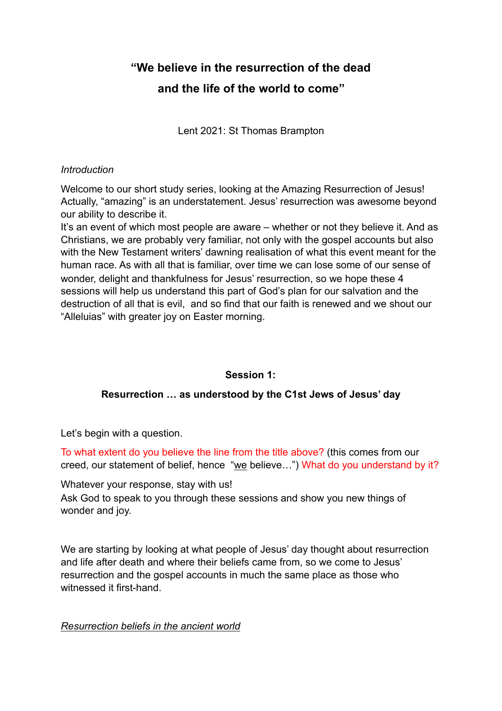# **"We believe in the resurrection of the dead and the life of the world to come"**

Lent 2021: St Thomas Brampton

## *Introduction*

Welcome to our short study series, looking at the Amazing Resurrection of Jesus! Actually, "amazing" is an understatement. Jesus' resurrection was awesome beyond our ability to describe it.

It's an event of which most people are aware – whether or not they believe it. And as Christians, we are probably very familiar, not only with the gospel accounts but also with the New Testament writers' dawning realisation of what this event meant for the human race. As with all that is familiar, over time we can lose some of our sense of wonder, delight and thankfulness for Jesus' resurrection, so we hope these 4 sessions will help us understand this part of God's plan for our salvation and the destruction of all that is evil, and so find that our faith is renewed and we shout our "Alleluias" with greater joy on Easter morning.

# **Session 1:**

# **Resurrection … as understood by the C1st Jews of Jesus' day**

Let's begin with a question.

To what extent do you believe the line from the title above? (this comes from our creed, our statement of belief, hence "we believe…") What do you understand by it?

Whatever your response, stay with us!

Ask God to speak to you through these sessions and show you new things of wonder and joy.

We are starting by looking at what people of Jesus' day thought about resurrection and life after death and where their beliefs came from, so we come to Jesus' resurrection and the gospel accounts in much the same place as those who witnessed it first-hand.

# *Resurrection beliefs in the ancient world*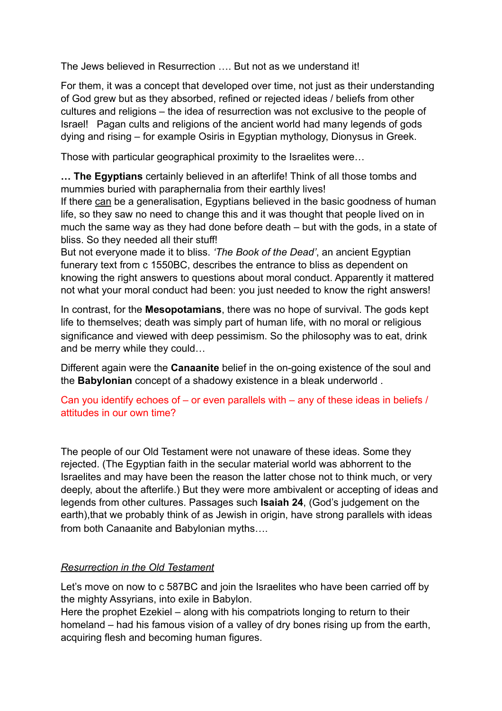The Jews believed in Resurrection …. But not as we understand it!

For them, it was a concept that developed over time, not just as their understanding of God grew but as they absorbed, refined or rejected ideas / beliefs from other cultures and religions – the idea of resurrection was not exclusive to the people of Israel! Pagan cults and religions of the ancient world had many legends of gods dying and rising – for example Osiris in Egyptian mythology, Dionysus in Greek.

Those with particular geographical proximity to the Israelites were…

**… The Egyptians** certainly believed in an afterlife! Think of all those tombs and mummies buried with paraphernalia from their earthly lives!

If there can be a generalisation, Egyptians believed in the basic goodness of human life, so they saw no need to change this and it was thought that people lived on in much the same way as they had done before death – but with the gods, in a state of bliss. So they needed all their stuff!

But not everyone made it to bliss. *'The Book of the Dead'*, an ancient Egyptian funerary text from c 1550BC, describes the entrance to bliss as dependent on knowing the right answers to questions about moral conduct. Apparently it mattered not what your moral conduct had been: you just needed to know the right answers!

In contrast, for the **Mesopotamians**, there was no hope of survival. The gods kept life to themselves; death was simply part of human life, with no moral or religious significance and viewed with deep pessimism. So the philosophy was to eat, drink and be merry while they could…

Different again were the **Canaanite** belief in the on-going existence of the soul and the **Babylonian** concept of a shadowy existence in a bleak underworld .

Can you identify echoes of – or even parallels with – any of these ideas in beliefs / attitudes in our own time?

The people of our Old Testament were not unaware of these ideas. Some they rejected. (The Egyptian faith in the secular material world was abhorrent to the Israelites and may have been the reason the latter chose not to think much, or very deeply, about the afterlife.) But they were more ambivalent or accepting of ideas and legends from other cultures. Passages such **Isaiah 24**, (God's judgement on the earth),that we probably think of as Jewish in origin, have strong parallels with ideas from both Canaanite and Babylonian myths….

# *Resurrection in the Old Testament*

Let's move on now to c 587BC and join the Israelites who have been carried off by the mighty Assyrians, into exile in Babylon.

Here the prophet Ezekiel – along with his compatriots longing to return to their homeland – had his famous vision of a valley of dry bones rising up from the earth, acquiring flesh and becoming human figures.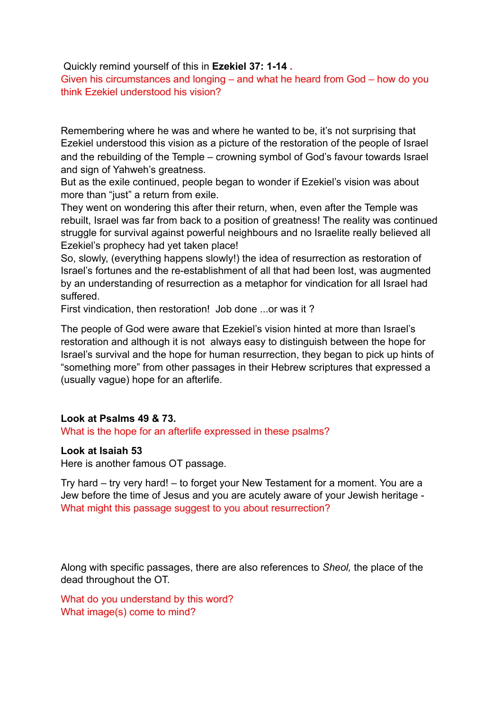Quickly remind yourself of this in **Ezekiel 37: 1-14 .** 

Given his circumstances and longing – and what he heard from God – how do you think Ezekiel understood his vision?

Remembering where he was and where he wanted to be, it's not surprising that Ezekiel understood this vision as a picture of the restoration of the people of Israel and the rebuilding of the Temple – crowning symbol of God's favour towards Israel and sign of Yahweh's greatness.

But as the exile continued, people began to wonder if Ezekiel's vision was about more than "just" a return from exile.

They went on wondering this after their return, when, even after the Temple was rebuilt, Israel was far from back to a position of greatness! The reality was continued struggle for survival against powerful neighbours and no Israelite really believed all Ezekiel's prophecy had yet taken place!

So, slowly, (everything happens slowly!) the idea of resurrection as restoration of Israel's fortunes and the re-establishment of all that had been lost, was augmented by an understanding of resurrection as a metaphor for vindication for all Israel had suffered.

First vindication, then restoration! Job done ...or was it ?

The people of God were aware that Ezekiel's vision hinted at more than Israel's restoration and although it is not always easy to distinguish between the hope for Israel's survival and the hope for human resurrection, they began to pick up hints of "something more" from other passages in their Hebrew scriptures that expressed a (usually vague) hope for an afterlife.

## **Look at Psalms 49 & 73.**

What is the hope for an afterlife expressed in these psalms?

#### **Look at Isaiah 53**

Here is another famous OT passage.

Try hard – try very hard! – to forget your New Testament for a moment. You are a Jew before the time of Jesus and you are acutely aware of your Jewish heritage - What might this passage suggest to you about resurrection?

Along with specific passages, there are also references to *Sheol,* the place of the dead throughout the OT.

What do you understand by this word? What image(s) come to mind?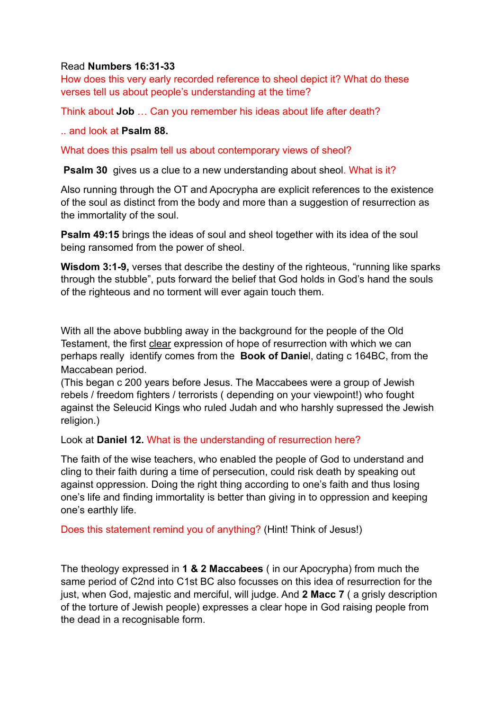## Read **Numbers 16:31-33**

How does this very early recorded reference to sheol depict it? What do these verses tell us about people's understanding at the time?

Think about **Job** … Can you remember his ideas about life after death?

.. and look at **Psalm 88.**

What does this psalm tell us about contemporary views of sheol?

**Psalm 30** gives us a clue to a new understanding about sheol. What is it?

Also running through the OT and Apocrypha are explicit references to the existence of the soul as distinct from the body and more than a suggestion of resurrection as the immortality of the soul.

**Psalm 49:15** brings the ideas of soul and sheol together with its idea of the soul being ransomed from the power of sheol.

**Wisdom 3:1-9,** verses that describe the destiny of the righteous, "running like sparks through the stubble", puts forward the belief that God holds in God's hand the souls of the righteous and no torment will ever again touch them.

With all the above bubbling away in the background for the people of the Old Testament, the first clear expression of hope of resurrection with which we can perhaps really identify comes from the **Book of Danie**l, dating c 164BC, from the Maccabean period.

(This began c 200 years before Jesus. The Maccabees were a group of Jewish rebels / freedom fighters / terrorists ( depending on your viewpoint!) who fought against the Seleucid Kings who ruled Judah and who harshly supressed the Jewish religion.)

Look at **Daniel 12.** What is the understanding of resurrection here?

The faith of the wise teachers, who enabled the people of God to understand and cling to their faith during a time of persecution, could risk death by speaking out against oppression. Doing the right thing according to one's faith and thus losing one's life and finding immortality is better than giving in to oppression and keeping one's earthly life.

Does this statement remind you of anything? (Hint! Think of Jesus!)

The theology expressed in **1 & 2 Maccabees** ( in our Apocrypha) from much the same period of C2nd into C1st BC also focusses on this idea of resurrection for the just, when God, majestic and merciful, will judge. And **2 Macc 7** ( a grisly description of the torture of Jewish people) expresses a clear hope in God raising people from the dead in a recognisable form.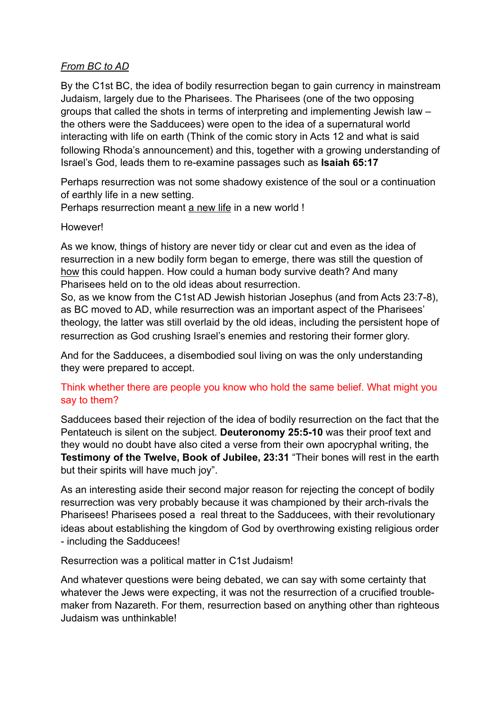# *From BC to AD*

By the C1st BC, the idea of bodily resurrection began to gain currency in mainstream Judaism, largely due to the Pharisees. The Pharisees (one of the two opposing groups that called the shots in terms of interpreting and implementing Jewish law – the others were the Sadducees) were open to the idea of a supernatural world interacting with life on earth (Think of the comic story in Acts 12 and what is said following Rhoda's announcement) and this, together with a growing understanding of Israel's God, leads them to re-examine passages such as **Isaiah 65:17**

Perhaps resurrection was not some shadowy existence of the soul or a continuation of earthly life in a new setting.

Perhaps resurrection meant a new life in a new world !

## However!

As we know, things of history are never tidy or clear cut and even as the idea of resurrection in a new bodily form began to emerge, there was still the question of how this could happen. How could a human body survive death? And many Pharisees held on to the old ideas about resurrection.

So, as we know from the C1st AD Jewish historian Josephus (and from Acts 23:7-8), as BC moved to AD, while resurrection was an important aspect of the Pharisees' theology, the latter was still overlaid by the old ideas, including the persistent hope of resurrection as God crushing Israel's enemies and restoring their former glory.

And for the Sadducees, a disembodied soul living on was the only understanding they were prepared to accept.

# Think whether there are people you know who hold the same belief. What might you say to them?

Sadducees based their rejection of the idea of bodily resurrection on the fact that the Pentateuch is silent on the subject. **Deuteronomy 25:5-10** was their proof text and they would no doubt have also cited a verse from their own apocryphal writing, the **Testimony of the Twelve, Book of Jubilee, 23:31** "Their bones will rest in the earth but their spirits will have much joy".

As an interesting aside their second major reason for rejecting the concept of bodily resurrection was very probably because it was championed by their arch-rivals the Pharisees! Pharisees posed a real threat to the Sadducees, with their revolutionary ideas about establishing the kingdom of God by overthrowing existing religious order - including the Sadducees!

Resurrection was a political matter in C1st Judaism!

And whatever questions were being debated, we can say with some certainty that whatever the Jews were expecting, it was not the resurrection of a crucified troublemaker from Nazareth. For them, resurrection based on anything other than righteous Judaism was unthinkable!